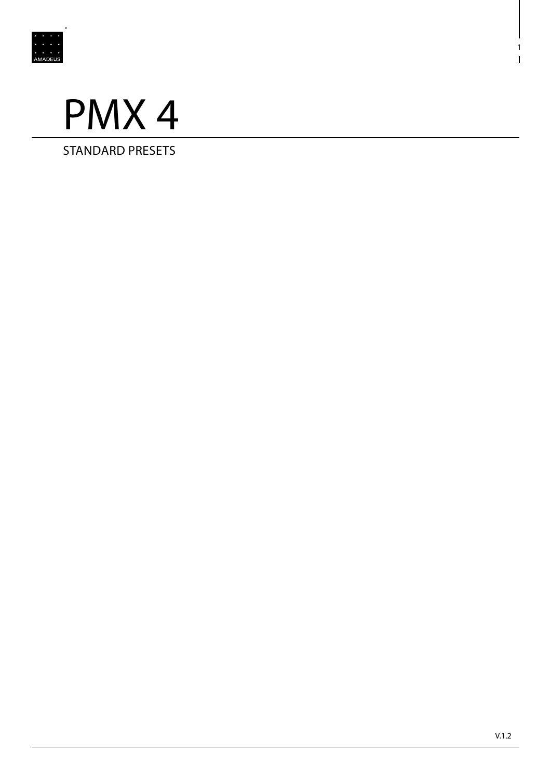



STANDARD PRESETS

1

 $\mathbf{I}$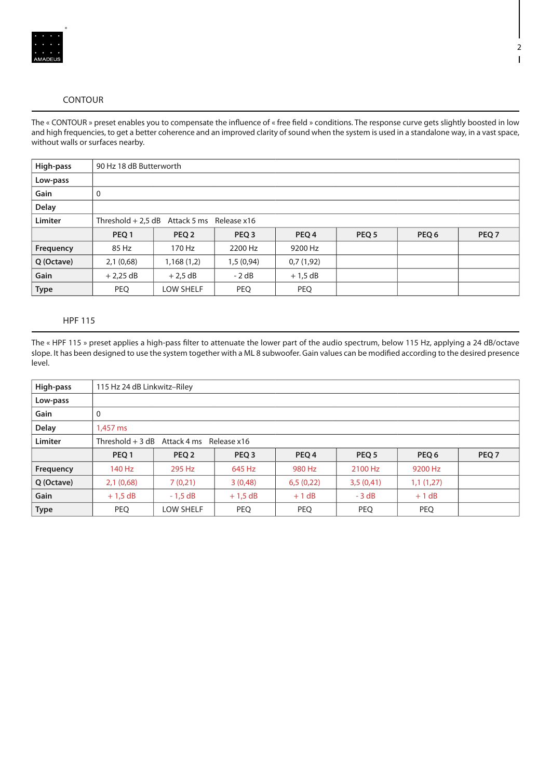

## CONTOUR

The « CONTOUR » preset enables you to compensate the influence of « free field » conditions. The response curve gets slightly boosted in low and high frequencies, to get a better coherence and an improved clarity of sound when the system is used in a standalone way, in a vast space, without walls or surfaces nearby.

| High-pass      | 90 Hz 18 dB Butterworth                    |            |                  |                  |                  |       |                  |  |  |  |
|----------------|--------------------------------------------|------------|------------------|------------------|------------------|-------|------------------|--|--|--|
| Low-pass       |                                            |            |                  |                  |                  |       |                  |  |  |  |
| Gain           | 0                                          |            |                  |                  |                  |       |                  |  |  |  |
| <b>Delay</b>   |                                            |            |                  |                  |                  |       |                  |  |  |  |
| <b>Limiter</b> | Threshold + 2,5 dB Attack 5 ms Release x16 |            |                  |                  |                  |       |                  |  |  |  |
|                | PEQ 1                                      | PEQ 2      | PEQ <sub>3</sub> | PEQ <sub>4</sub> | PEQ <sub>5</sub> | PEQ 6 | PEQ <sub>7</sub> |  |  |  |
| Frequency      | 85 Hz                                      | 170 Hz     | 2200 Hz          | 9200 Hz          |                  |       |                  |  |  |  |
| Q (Octave)     | 2,1(0,68)                                  | 1,168(1,2) | 1,5(0,94)        | 0,7(1,92)        |                  |       |                  |  |  |  |
| Gain           | $+2,25$ dB                                 | $+2.5$ dB  | $-2 dB$          | $+1,5$ dB        |                  |       |                  |  |  |  |
| <b>Type</b>    | <b>PEQ</b>                                 | LOW SHELF  | <b>PEQ</b>       | <b>PEQ</b>       |                  |       |                  |  |  |  |

## HPF 115

The « HPF 115 » preset applies a high-pass filter to attenuate the lower part of the audio spectrum, below 115 Hz, applying a 24 dB/octave slope. It has been designed to use the system together with a ML 8 subwoofer. Gain values can be modified according to the desired presence level.

| High-pass    | 115 Hz 24 dB Linkwitz-Riley               |           |                  |                  |                  |           |                  |  |  |  |
|--------------|-------------------------------------------|-----------|------------------|------------------|------------------|-----------|------------------|--|--|--|
| Low-pass     |                                           |           |                  |                  |                  |           |                  |  |  |  |
| Gain         | 0                                         |           |                  |                  |                  |           |                  |  |  |  |
| <b>Delay</b> | 1.457 ms                                  |           |                  |                  |                  |           |                  |  |  |  |
| Limiter      | Threshold $+3$ dB Attack 4 ms Release x16 |           |                  |                  |                  |           |                  |  |  |  |
|              | PEO <sub>1</sub>                          | PEQ 2     | PEQ <sub>3</sub> | PEQ <sub>4</sub> | PEQ <sub>5</sub> | PEQ 6     | PEQ <sub>7</sub> |  |  |  |
| Frequency    | 140 Hz                                    | 295 Hz    | 645 Hz           | 980 Hz           | 2100 Hz          | 9200 Hz   |                  |  |  |  |
| Q (Octave)   | 2,1(0,68)                                 | 7(0,21)   | 3(0,48)          | 6,5(0,22)        | 3,5(0,41)        | 1,1(1,27) |                  |  |  |  |
| Gain         | $+1,5$ dB                                 | $-1,5$ dB | $+1,5$ dB        | $+1$ dB          | $-3 dB$          | $+1$ dB   |                  |  |  |  |
| <b>Type</b>  | <b>PEQ</b>                                | LOW SHELF | PEQ              | <b>PEQ</b>       | <b>PEQ</b>       | PEQ       |                  |  |  |  |